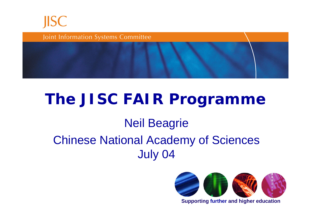



### **The JISC FAIR Programme**

#### Neil Beagrie

### Chinese National Academy of Sciences July 04



**Supporting further and higher education**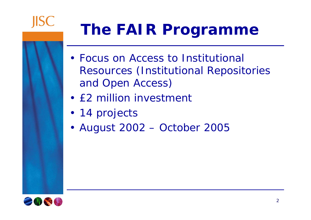

## **The FAIR Programme**

- Focus on Access to Institutional Resources (Institutional Repositories and Open Access)
- £2 million investment
- 14 projects
- August 2002 October 2005

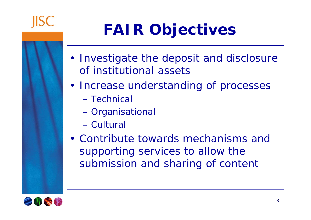

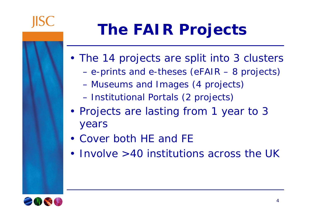

# **The FAIR Projects**

- The 14 projects are split into 3 clusters
	- e-prints and e-theses (eFAIR 8 projects)
	- Museums and Images (4 projects)
	- Institutional Portals (2 projects)
- Projects are lasting from 1 year to 3 years
- Cover both HE and FE
- Involve >40 institutions across the UK

4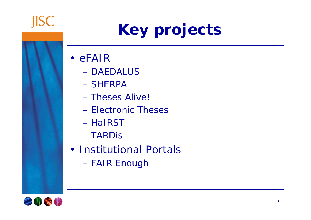

# **Key projects**

- eFAIR
	- DAEDALUS
	- SHERPA
	- Theses Alive!
	- Electronic Theses
	- HaIRST
	- TARDis
- Institutional Portals
	- FAIR Enough

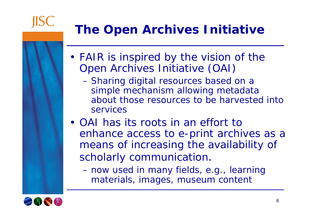

### **The Open Archives Initiative**

- FAIR is inspired by the vision of the Open Archives Initiative (OAI)
	- Sharing digital resources based on a simple mechanism allowing metadata about those resources to be harvested into services
- OAI has its roots in an effort to enhance access to e-print archives as a means of increasing the availability of scholarly communication.
	- now used in many fields, e.g., learning materials, images, museum content

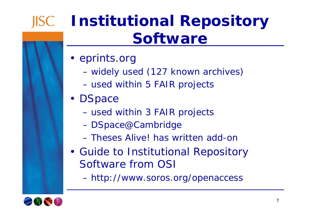### **JISC**

## **Institutional Repository Software**

- eprints.org
	- widely used (127 known archives)
	- used within 5 FAIR projects
- DSpace
	- used within 3 FAIR projects
	- DSpace@Cambridge
	- Theses Alive! has written add-on
- Guide to Institutional Repository Software from OSI
	- http://www.soros.org/openaccess